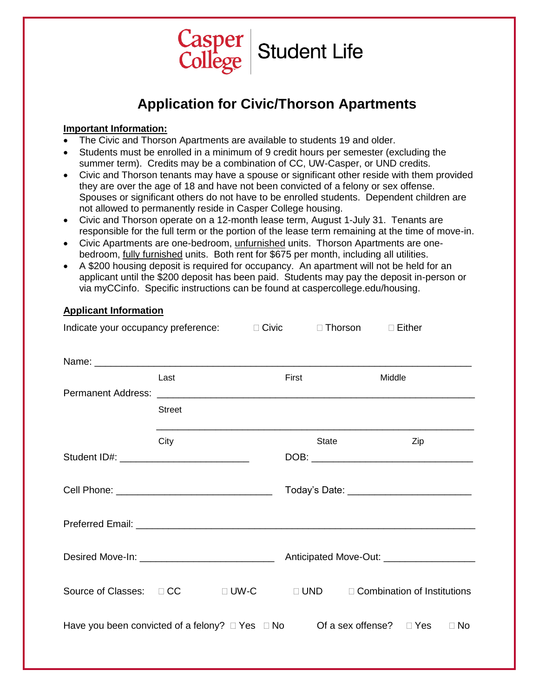

# **Application for Civic/Thorson Apartments**

### **Important Information:**

**Applicant Information**

- The Civic and Thorson Apartments are available to students 19 and older.
- Students must be enrolled in a minimum of 9 credit hours per semester (excluding the summer term). Credits may be a combination of CC, UW-Casper, or UND credits.
- Civic and Thorson tenants may have a spouse or significant other reside with them provided they are over the age of 18 and have not been convicted of a felony or sex offense. Spouses or significant others do not have to be enrolled students. Dependent children are not allowed to permanently reside in Casper College housing.
- Civic and Thorson operate on a 12-month lease term, August 1-July 31. Tenants are responsible for the full term or the portion of the lease term remaining at the time of move-in.
- Civic Apartments are one-bedroom, unfurnished units. Thorson Apartments are onebedroom, fully furnished units. Both rent for \$675 per month, including all utilities.
- A \$200 housing deposit is required for occupancy. An apartment will not be held for an applicant until the \$200 deposit has been paid. Students may pay the deposit in-person or via myCCinfo. Specific instructions can be found at caspercollege.edu/housing.

| Indicate your occupancy preference: □ Civic                                                            |               |             |       | $\Box$ Thorson $\Box$ Either                                                                                                                                                                                                         |
|--------------------------------------------------------------------------------------------------------|---------------|-------------|-------|--------------------------------------------------------------------------------------------------------------------------------------------------------------------------------------------------------------------------------------|
|                                                                                                        |               |             |       |                                                                                                                                                                                                                                      |
|                                                                                                        | Last          | First       |       | Middle                                                                                                                                                                                                                               |
|                                                                                                        | <b>Street</b> |             |       |                                                                                                                                                                                                                                      |
|                                                                                                        | City          |             | State | Zip                                                                                                                                                                                                                                  |
| Student ID#: ______________________________                                                            |               |             |       |                                                                                                                                                                                                                                      |
|                                                                                                        |               |             |       | Today's Date: <u>contract and the set of the set of the set of the set of the set of the set of the set of the set of the set of the set of the set of the set of the set of the set of the set of the set of the set of the set</u> |
|                                                                                                        |               |             |       |                                                                                                                                                                                                                                      |
|                                                                                                        |               |             |       |                                                                                                                                                                                                                                      |
| Source of Classes: □ CC                                                                                |               | $\Box$ UW-C |       | $\Box$ UND $\Box$ Combination of Institutions                                                                                                                                                                                        |
| Have you been convicted of a felony? $\Box$ Yes $\Box$ No<br>Of a sex offense? $\Box$ Yes<br>$\Box$ No |               |             |       |                                                                                                                                                                                                                                      |
|                                                                                                        |               |             |       |                                                                                                                                                                                                                                      |